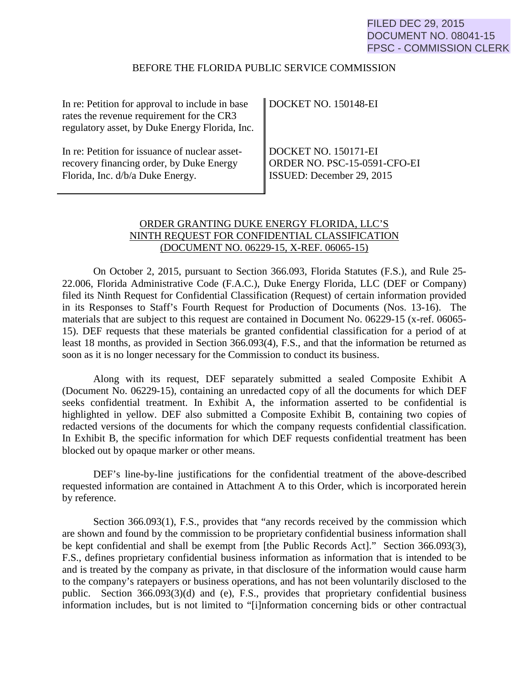# FILED DEC 29, 2015 DOCUMENT NO. 08041-15 FPSC - COMMISSION CLERK

#### BEFORE THE FLORIDA PUBLIC SERVICE COMMISSION

| In re: Petition for approval to include in base<br>rates the revenue requirement for the CR3<br>regulatory asset, by Duke Energy Florida, Inc. | DOCKET NO. 150148-EI             |
|------------------------------------------------------------------------------------------------------------------------------------------------|----------------------------------|
| In re: Petition for issuance of nuclear asset-                                                                                                 | DOCKET NO. 150171-EI             |
| recovery financing order, by Duke Energy                                                                                                       | ORDER NO. PSC-15-0591-CFO-EI     |
| Florida, Inc. d/b/a Duke Energy.                                                                                                               | <b>ISSUED:</b> December 29, 2015 |

# ORDER GRANTING DUKE ENERGY FLORIDA, LLC'S NINTH REQUEST FOR CONFIDENTIAL CLASSIFICATION (DOCUMENT NO. 06229-15, X-REF. 06065-15)

On October 2, 2015, pursuant to Section 366.093, Florida Statutes (F.S.), and Rule 25- 22.006, Florida Administrative Code (F.A.C.), Duke Energy Florida, LLC (DEF or Company) filed its Ninth Request for Confidential Classification (Request) of certain information provided in its Responses to Staff's Fourth Request for Production of Documents (Nos. 13-16). The materials that are subject to this request are contained in Document No. 06229-15 (x-ref. 06065- 15). DEF requests that these materials be granted confidential classification for a period of at least 18 months, as provided in Section 366.093(4), F.S., and that the information be returned as soon as it is no longer necessary for the Commission to conduct its business.

Along with its request, DEF separately submitted a sealed Composite Exhibit A (Document No. 06229-15), containing an unredacted copy of all the documents for which DEF seeks confidential treatment. In Exhibit A, the information asserted to be confidential is highlighted in yellow. DEF also submitted a Composite Exhibit B, containing two copies of redacted versions of the documents for which the company requests confidential classification. In Exhibit B, the specific information for which DEF requests confidential treatment has been blocked out by opaque marker or other means.

DEF's line-by-line justifications for the confidential treatment of the above-described requested information are contained in Attachment A to this Order, which is incorporated herein by reference.

Section 366.093(1), F.S., provides that "any records received by the commission which are shown and found by the commission to be proprietary confidential business information shall be kept confidential and shall be exempt from [the Public Records Act]." Section 366.093(3), F.S., defines proprietary confidential business information as information that is intended to be and is treated by the company as private, in that disclosure of the information would cause harm to the company's ratepayers or business operations, and has not been voluntarily disclosed to the public. Section 366.093(3)(d) and (e), F.S., provides that proprietary confidential business information includes, but is not limited to "[i]nformation concerning bids or other contractual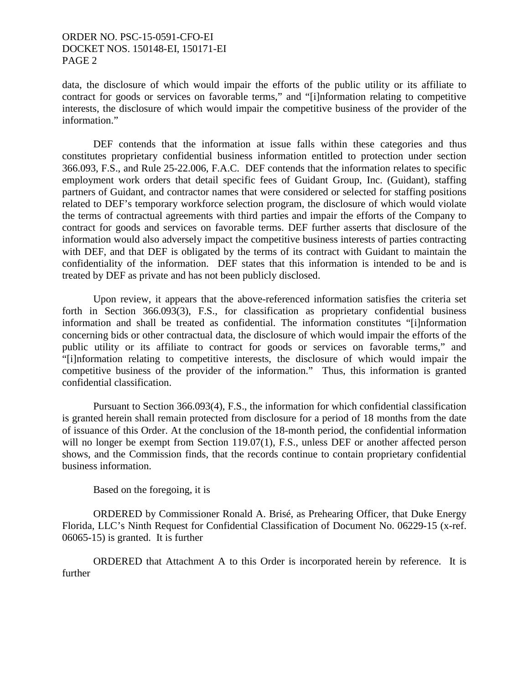## ORDER NO. PSC-15-0591-CFO-EI DOCKET NOS. 150148-EI, 150171-EI PAGE 2

data, the disclosure of which would impair the efforts of the public utility or its affiliate to contract for goods or services on favorable terms," and "[i]nformation relating to competitive interests, the disclosure of which would impair the competitive business of the provider of the information."

 DEF contends that the information at issue falls within these categories and thus constitutes proprietary confidential business information entitled to protection under section 366.093, F.S., and Rule 25-22.006, F.A.C. DEF contends that the information relates to specific employment work orders that detail specific fees of Guidant Group, Inc. (Guidant), staffing partners of Guidant, and contractor names that were considered or selected for staffing positions related to DEF's temporary workforce selection program, the disclosure of which would violate the terms of contractual agreements with third parties and impair the efforts of the Company to contract for goods and services on favorable terms. DEF further asserts that disclosure of the information would also adversely impact the competitive business interests of parties contracting with DEF, and that DEF is obligated by the terms of its contract with Guidant to maintain the confidentiality of the information. DEF states that this information is intended to be and is treated by DEF as private and has not been publicly disclosed.

 Upon review, it appears that the above-referenced information satisfies the criteria set forth in Section 366.093(3), F.S., for classification as proprietary confidential business information and shall be treated as confidential. The information constitutes "[i]nformation concerning bids or other contractual data, the disclosure of which would impair the efforts of the public utility or its affiliate to contract for goods or services on favorable terms," and "[i]nformation relating to competitive interests, the disclosure of which would impair the competitive business of the provider of the information." Thus, this information is granted confidential classification.

 Pursuant to Section 366.093(4), F.S., the information for which confidential classification is granted herein shall remain protected from disclosure for a period of 18 months from the date of issuance of this Order. At the conclusion of the 18-month period, the confidential information will no longer be exempt from Section 119.07(1), F.S., unless DEF or another affected person shows, and the Commission finds, that the records continue to contain proprietary confidential business information.

Based on the foregoing, it is

 ORDERED by Commissioner Ronald A. Brisé, as Prehearing Officer, that Duke Energy Florida, LLC's Ninth Request for Confidential Classification of Document No. 06229-15 (x-ref. 06065-15) is granted. It is further

 ORDERED that Attachment A to this Order is incorporated herein by reference. It is further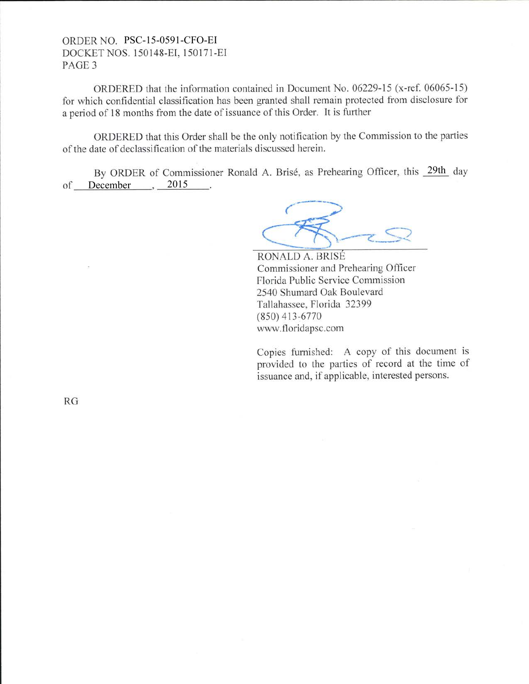# ORDER NO. PSC-15-0591-CFO-EIDOCKET NOS. 150148-EI. 1s0171-EI PAGE 3

ORDERED that the information contained in Document No. 06229-15 (x-ref. 06065-15) for which confidential classification has been granted shall remain protected from disclosure for <sup>a</sup>period of 18 months from the date of issuance of this Order. It is further

ORDERED that this Order shall be the only notification by the Commission to the parties of the date of declassification of the materials discussed herein.

of December 2015 By ORDER of Commissioner Ronald A. Brisé, as Prehearing Officer, this 29th day

Commissioner and Prehearing Officer Florida Public Service Commission 2540 Shumard Oak Boulevard Tallahassee, Florida 32399 (8s0) 413-6770 www.floridapsc.com RONALD A. BRIS

Copies fumished: A copy of this document is provided to the parties of record at the time of issuance and, if applicable, interested persons.

RG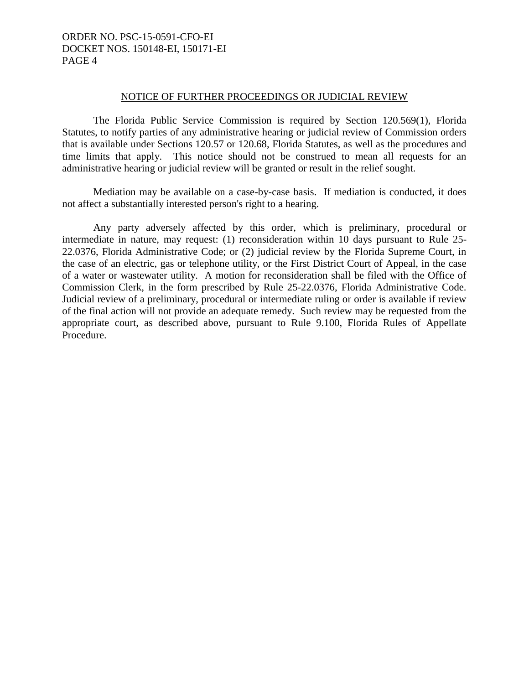## ORDER NO. PSC-15-0591-CFO-EI DOCKET NOS. 150148-EI, 150171-EI PAGE 4

#### NOTICE OF FURTHER PROCEEDINGS OR JUDICIAL REVIEW

 The Florida Public Service Commission is required by Section 120.569(1), Florida Statutes, to notify parties of any administrative hearing or judicial review of Commission orders that is available under Sections 120.57 or 120.68, Florida Statutes, as well as the procedures and time limits that apply. This notice should not be construed to mean all requests for an administrative hearing or judicial review will be granted or result in the relief sought.

 Mediation may be available on a case-by-case basis. If mediation is conducted, it does not affect a substantially interested person's right to a hearing.

 Any party adversely affected by this order, which is preliminary, procedural or intermediate in nature, may request: (1) reconsideration within 10 days pursuant to Rule 25- 22.0376, Florida Administrative Code; or (2) judicial review by the Florida Supreme Court, in the case of an electric, gas or telephone utility, or the First District Court of Appeal, in the case of a water or wastewater utility. A motion for reconsideration shall be filed with the Office of Commission Clerk, in the form prescribed by Rule 25-22.0376, Florida Administrative Code. Judicial review of a preliminary, procedural or intermediate ruling or order is available if review of the final action will not provide an adequate remedy. Such review may be requested from the appropriate court, as described above, pursuant to Rule 9.100, Florida Rules of Appellate Procedure.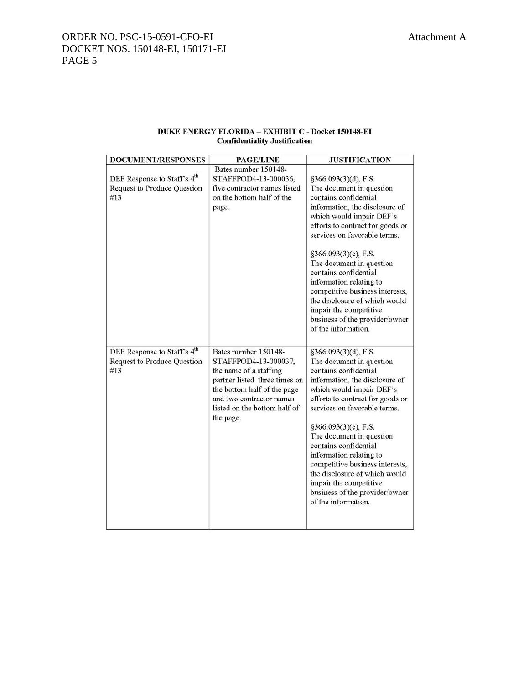| <b>DOCUMENT/RESPONSES</b>                                                            | PAGE/LINE                                                                                                                                                                                                       | <b>JUSTIFICATION</b>                                                                                                                                                                                                                                                                                                                                                                                                                                                       |
|--------------------------------------------------------------------------------------|-----------------------------------------------------------------------------------------------------------------------------------------------------------------------------------------------------------------|----------------------------------------------------------------------------------------------------------------------------------------------------------------------------------------------------------------------------------------------------------------------------------------------------------------------------------------------------------------------------------------------------------------------------------------------------------------------------|
| DEF Response to Staff's 4 <sup>th</sup><br>Request to Produce Question<br>#13        | Bates number 150148-<br>STAFFPOD4-13-000036,<br>five contractor names listed<br>on the bottom half of the<br>page.                                                                                              | §366.093(3)(d), F.S.<br>The document in question<br>contains confidential<br>information, the disclosure of<br>which would impair DEF's<br>efforts to contract for goods or<br>services on favorable terms.<br>§366.093(3)(e), F.S.<br>The document in question<br>contains confidential<br>information relating to<br>competitive business interests,<br>the disclosure of which would<br>impair the competitive<br>business of the provider/owner<br>of the information. |
| DEF Response to Staff's 4 <sup>th</sup><br><b>Request to Produce Question</b><br>#13 | Bates number 150148-<br>STAFFPOD4-13-000037.<br>the name of a staffing<br>partner listed three times on<br>the bottom half of the page<br>and two contractor names<br>listed on the bottom half of<br>the page. | §366.093(3)(d), F.S.<br>The document in question<br>contains confidential<br>information, the disclosure of<br>which would impair DEF's<br>efforts to contract for goods or<br>services on favorable terms.<br>§366.093(3)(e), F.S.<br>The document in question<br>contains confidential<br>information relating to<br>competitive business interests,<br>the disclosure of which would<br>impair the competitive<br>business of the provider/owner<br>of the information. |

#### DUKE ENERGY FLORIDA- EXHIBIT C- Dockct.150148-EI Confidentiality Justification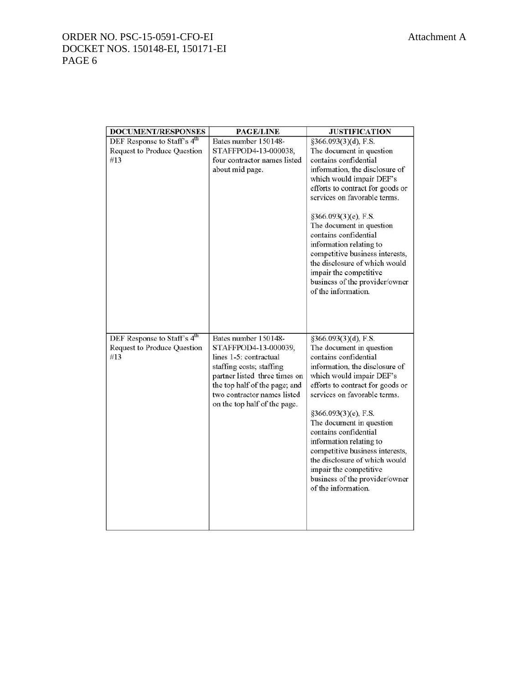| <b>DOCUMENT/RESPONSES</b>                                                     | PAGE/LINE                                                                                                                                                                                                                           | <b>JUSTIFICATION</b>                                                                                                                                                                                                                                                                                                                                                                                                                                                       |
|-------------------------------------------------------------------------------|-------------------------------------------------------------------------------------------------------------------------------------------------------------------------------------------------------------------------------------|----------------------------------------------------------------------------------------------------------------------------------------------------------------------------------------------------------------------------------------------------------------------------------------------------------------------------------------------------------------------------------------------------------------------------------------------------------------------------|
| DEF Response to Staff's 4th                                                   | Bates number 150148-                                                                                                                                                                                                                | §366.093(3)(d), F.S.                                                                                                                                                                                                                                                                                                                                                                                                                                                       |
| <b>Request to Produce Question</b>                                            | STAFFPOD4-13-000038,                                                                                                                                                                                                                | The document in question                                                                                                                                                                                                                                                                                                                                                                                                                                                   |
| #13                                                                           | four contractor names listed<br>about mid page.                                                                                                                                                                                     | contains confidential<br>information, the disclosure of<br>which would impair DEF's<br>efforts to contract for goods or<br>services on favorable terms.<br>§366.093(3)(e), F.S.<br>The document in question<br>contains confidential<br>information relating to<br>competitive business interests,<br>the disclosure of which would<br>impair the competitive<br>business of the provider/owner<br>of the information.                                                     |
| DEF Response to Staff's 4 <sup>th</sup><br>Request to Produce Question<br>#13 | Bates number 150148-<br>STAFFPOD4-13-000039.<br>lines 1-5: contractual<br>staffing costs; staffing<br>partner listed three times on<br>the top half of the page; and<br>two contractor names listed<br>on the top half of the page. | §366.093(3)(d), F.S.<br>The document in question<br>contains confidential<br>information, the disclosure of<br>which would impair DEF's<br>efforts to contract for goods or<br>services on favorable terms.<br>§366.093(3)(e), F.S.<br>The document in question<br>contains confidential<br>information relating to<br>competitive business interests,<br>the disclosure of which would<br>impair the competitive<br>business of the provider/owner<br>of the information. |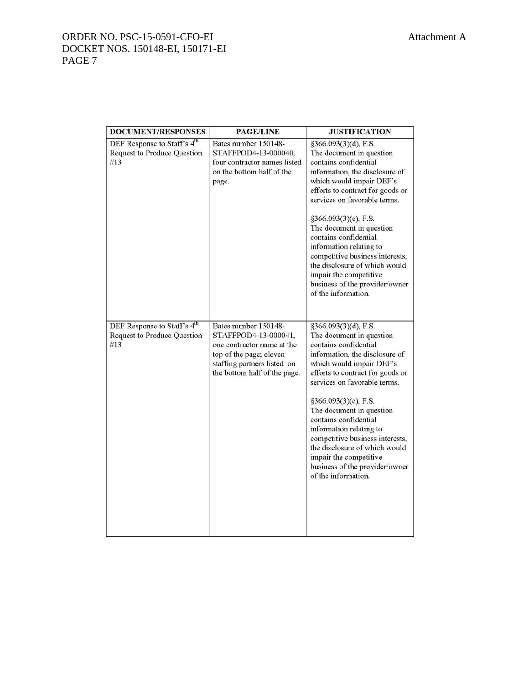| <b>DOCUMENT/RESPONSES</b>                                                            | PAGE/LINE                                                                                                                                                            | <b>JUSTIFICATION</b>                                                                                                                                                                                                                                                                                                                                                                                                                                                       |
|--------------------------------------------------------------------------------------|----------------------------------------------------------------------------------------------------------------------------------------------------------------------|----------------------------------------------------------------------------------------------------------------------------------------------------------------------------------------------------------------------------------------------------------------------------------------------------------------------------------------------------------------------------------------------------------------------------------------------------------------------------|
| DEF Response to Staff's 4 <sup>th</sup><br><b>Request to Produce Question</b><br>#13 | Bates number 150148-<br>STAFFPOD4-13-000040,<br>four contractor names listed<br>on the bottom half of the<br>page.                                                   | §366.093(3)(d), F.S.<br>The document in question<br>contains confidential<br>information, the disclosure of<br>which would impair DEF's<br>efforts to contract for goods or<br>services on favorable terms.<br>§366.093(3)(e), F.S.<br>The document in question<br>contains confidential<br>information relating to<br>competitive business interests,<br>the disclosure of which would<br>impair the competitive<br>business of the provider/owner<br>of the information. |
| DEF Response to Staff's 4 <sup>th</sup><br>Request to Produce Question<br>#13        | Bates number 150148-<br>STAFFPOD4-13-000041,<br>one contractor name at the<br>top of the page; eleven<br>staffing partners listed on<br>the bottom half of the page. | §366.093(3)(d), F.S.<br>The document in question<br>contains confidential<br>information, the disclosure of<br>which would impair DEF's<br>efforts to contract for goods or<br>services on favorable terms.<br>§366.093(3)(e), F.S.<br>The document in question<br>contains confidential<br>information relating to<br>competitive business interests,<br>the disclosure of which would<br>impair the competitive<br>business of the provider/owner<br>of the information. |